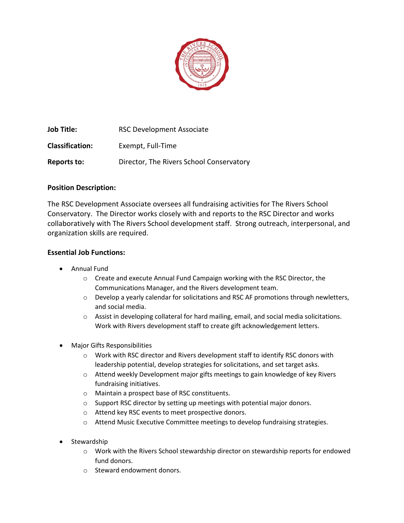

**Job Title:** RSC Development Associate **Classification:** Exempt, Full-Time **Reports to:** Director, The Rivers School Conservatory

# **Position Description:**

The RSC Development Associate oversees all fundraising activities for The Rivers School Conservatory. The Director works closely with and reports to the RSC Director and works collaboratively with The Rivers School development staff. Strong outreach, interpersonal, and organization skills are required.

# **Essential Job Functions:**

- Annual Fund
	- o Create and execute Annual Fund Campaign working with the RSC Director, the Communications Manager, and the Rivers development team.
	- $\circ$  Develop a yearly calendar for solicitations and RSC AF promotions through newletters, and social media.
	- $\circ$  Assist in developing collateral for hard mailing, email, and social media solicitations. Work with Rivers development staff to create gift acknowledgement letters.
- Major Gifts Responsibilities
	- o Work with RSC director and Rivers development staff to identify RSC donors with leadership potential, develop strategies for solicitations, and set target asks.
	- $\circ$  Attend weekly Development major gifts meetings to gain knowledge of key Rivers fundraising initiatives.
	- o Maintain a prospect base of RSC constituents.
	- o Support RSC director by setting up meetings with potential major donors.
	- o Attend key RSC events to meet prospective donors.
	- o Attend Music Executive Committee meetings to develop fundraising strategies.
- **Stewardship** 
	- $\circ$  Work with the Rivers School stewardship director on stewardship reports for endowed fund donors.
	- o Steward endowment donors.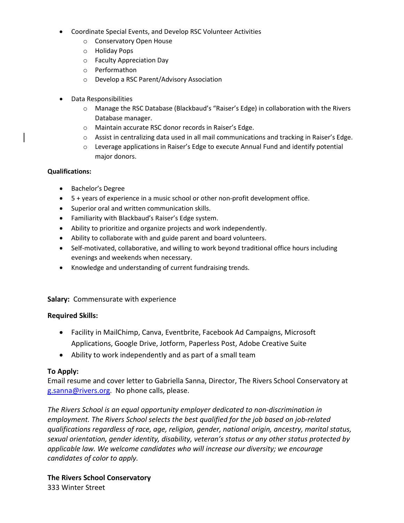- Coordinate Special Events, and Develop RSC Volunteer Activities
	- o Conservatory Open House
	- o Holiday Pops
	- o Faculty Appreciation Day
	- o Performathon
	- o Develop a RSC Parent/Advisory Association
- Data Responsibilities
	- o Manage the RSC Database (Blackbaud's "Raiser's Edge) in collaboration with the Rivers Database manager.
	- o Maintain accurate RSC donor records in Raiser's Edge.
	- o Assist in centralizing data used in all mail communications and tracking in Raiser's Edge.
	- o Leverage applications in Raiser's Edge to execute Annual Fund and identify potential major donors.

### **Qualifications:**

- Bachelor's Degree
- 5 + years of experience in a music school or other non-profit development office.
- Superior oral and written communication skills.
- Familiarity with Blackbaud's Raiser's Edge system.
- Ability to prioritize and organize projects and work independently.
- Ability to collaborate with and guide parent and board volunteers.
- Self-motivated, collaborative, and willing to work beyond traditional office hours including evenings and weekends when necessary.
- Knowledge and understanding of current fundraising trends.

### **Salary:** Commensurate with experience

### **Required Skills:**

- Facility in MailChimp, Canva, Eventbrite, Facebook Ad Campaigns, Microsoft Applications, Google Drive, Jotform, Paperless Post, Adobe Creative Suite
- Ability to work independently and as part of a small team

## **To Apply:**

Email resume and cover letter to Gabriella Sanna, Director, The Rivers School Conservatory at [g.sanna@rivers.org.](mailto:g.sanna@rivers.org) No phone calls, please.

*The Rivers School is an equal opportunity employer dedicated to non-discrimination in employment. The Rivers School selects the best qualified for the job based on job-related qualifications regardless of race, age, religion, gender, national origin, ancestry, marital status, sexual orientation, gender identity, disability, veteran's status or any other status protected by applicable law. We welcome candidates who will increase our diversity; we encourage candidates of color to apply.*

**The Rivers School Conservatory** 333 Winter Street